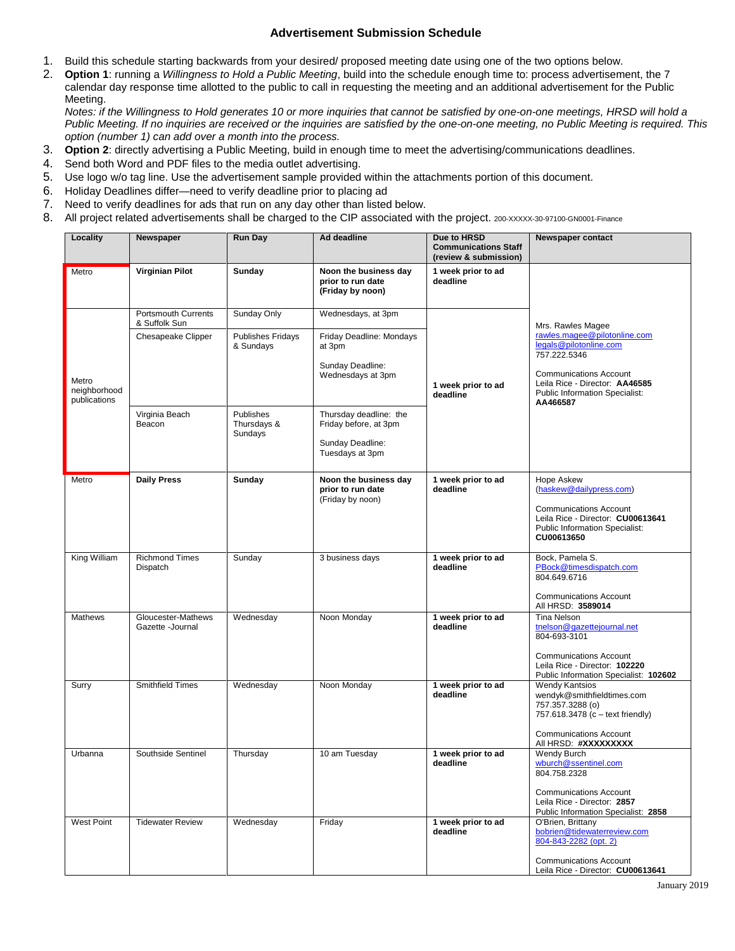## **Advertisement Submission Schedule**

- 1. Build this schedule starting backwards from your desired/ proposed meeting date using one of the two options below.
- 2. **Option 1**: running a *Willingness to Hold a Public Meeting*, build into the schedule enough time to: process advertisement, the 7 calendar day response time allotted to the public to call in requesting the meeting and an additional advertisement for the Public Meeting.

*Notes: if the Willingness to Hold generates 10 or more inquiries that cannot be satisfied by one-on-one meetings, HRSD will hold a Public Meeting. If no inquiries are received or the inquiries are satisfied by the one-on-one meeting, no Public Meeting is required. This option (number 1) can add over a month into the process.*

- 3. **Option 2**: directly advertising a Public Meeting, build in enough time to meet the advertising/communications deadlines.
- 4. Send both Word and PDF files to the media outlet advertising.
- 5. Use logo w/o tag line. Use the advertisement sample provided within the attachments portion of this document.
- 6. Holiday Deadlines differ—need to verify deadline prior to placing ad
- 7. Need to verify deadlines for ads that run on any day other than listed below.
- 8. All project related advertisements shall be charged to the CIP associated with the project. 200-XXXXX-30-97100-GN0001-Finance

| Locality                              | Newspaper                                   | <b>Run Day</b>                        | Ad deadline                                                                            | Due to HRSD<br><b>Communications Staff</b><br>(review & submission) | <b>Newspaper contact</b>                                                                                                                                                                                            |
|---------------------------------------|---------------------------------------------|---------------------------------------|----------------------------------------------------------------------------------------|---------------------------------------------------------------------|---------------------------------------------------------------------------------------------------------------------------------------------------------------------------------------------------------------------|
| Metro                                 | <b>Virginian Pilot</b>                      | Sunday                                | Noon the business day<br>prior to run date<br>(Friday by noon)                         | 1 week prior to ad<br>deadline                                      |                                                                                                                                                                                                                     |
| Metro<br>neighborhood<br>publications | <b>Portsmouth Currents</b><br>& Suffolk Sun | Sunday Only                           | Wednesdays, at 3pm                                                                     | 1 week prior to ad<br>deadline                                      | Mrs. Rawles Magee<br>rawles.magee@pilotonline.com<br>legals@pilotonline.com<br>757.222.5346<br><b>Communications Account</b><br>Leila Rice - Director: AA46585<br><b>Public Information Specialist:</b><br>AA466587 |
|                                       | Chesapeake Clipper                          | <b>Publishes Fridays</b><br>& Sundays | Friday Deadline: Mondays<br>at 3pm<br>Sunday Deadline:<br>Wednesdays at 3pm            |                                                                     |                                                                                                                                                                                                                     |
|                                       | Virginia Beach<br>Beacon                    | Publishes<br>Thursdays &<br>Sundays   | Thursday deadline: the<br>Friday before, at 3pm<br>Sunday Deadline:<br>Tuesdays at 3pm |                                                                     |                                                                                                                                                                                                                     |
| Metro                                 | <b>Daily Press</b>                          | Sunday                                | Noon the business day<br>prior to run date<br>(Friday by noon)                         | 1 week prior to ad<br>deadline                                      | Hope Askew<br>(haskew@dailypress.com)<br><b>Communications Account</b><br>Leila Rice - Director: CU00613641<br>Public Information Specialist:<br>CU00613650                                                         |
| King William                          | <b>Richmond Times</b><br>Dispatch           | Sunday                                | 3 business days                                                                        | 1 week prior to ad<br>deadline                                      | Bock, Pamela S.<br>PBock@timesdispatch.com<br>804.649.6716<br><b>Communications Account</b><br>All HRSD: 3589014                                                                                                    |
| <b>Mathews</b>                        | Gloucester-Mathews<br>Gazette -Journal      | Wednesday                             | Noon Monday                                                                            | 1 week prior to ad<br>deadline                                      | <b>Tina Nelson</b><br>tnelson@gazettejournal.net<br>804-693-3101<br><b>Communications Account</b><br>Leila Rice - Director: 102220<br>Public Information Specialist: 102602                                         |
| Surry                                 | <b>Smithfield Times</b>                     | Wednesday                             | Noon Monday                                                                            | 1 week prior to ad<br>deadline                                      | <b>Wendy Kantsios</b><br>wendyk@smithfieldtimes.com<br>757.357.3288 (o)<br>757.618.3478 (c - text friendly)<br><b>Communications Account</b><br>All HRSD: #XXXXXXXX                                                 |
| Urbanna                               | Southside Sentinel                          | Thursday                              | 10 am Tuesday                                                                          | 1 week prior to ad<br>deadline                                      | Wendy Burch<br>wburch@ssentinel.com<br>804.758.2328<br><b>Communications Account</b><br>Leila Rice - Director: 2857<br>Public Information Specialist: 2858                                                          |
| <b>West Point</b>                     | <b>Tidewater Review</b>                     | Wednesday                             | Friday                                                                                 | 1 week prior to ad<br>deadline                                      | O'Brien, Brittany<br>bobrien@tidewaterreview.com<br>804-843-2282 (opt. 2)<br><b>Communications Account</b><br>Leila Rice - Director: CU00613641                                                                     |